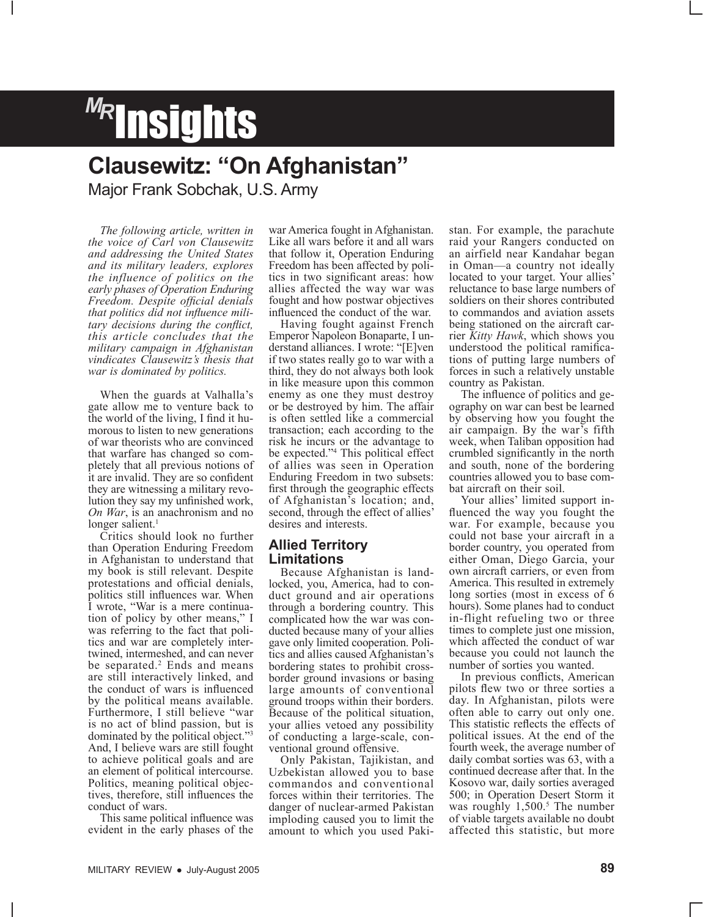# *MR* Insights

### **Clausewitz: "On Afghanistan"**

Major Frank Sobchak, U.S. Army

*The following article, written in the voice of Carl von Clausewitz and addressing the United States and its military leaders, explores the influence of politics on the early phases of Operation Enduring Freedom. Despite official denials that politics did not influence military decisions during the conflict, this article concludes that the military campaign in Afghanistan vindicates Clausewitz's thesis that war is dominated by politics.*

When the guards at Valhalla's gate allow me to venture back to the world of the living, I find it humorous to listen to new generations of war theorists who are convinced that warfare has changed so completely that all previous notions of it are invalid. They are so confident they are witnessing a military revolution they say my unfinished work, *On War*, is an anachronism and no longer salient. $<sup>1</sup>$ </sup>

Critics should look no further than Operation Enduring Freedom in Afghanistan to understand that my book is still relevant. Despite protestations and official denials, politics still influences war. When<br>I wrote, "War is a mere continuation of policy by other means," I was referring to the fact that politics and war are completely intertwined, intermeshed, and can never be separated.<sup>2</sup> Ends and means are still interactively linked, and the conduct of wars is influenced by the political means available. Furthermore, I still believe "war is no act of blind passion, but is dominated by the political object."3 And, I believe wars are still fought to achieve political goals and are an element of political intercourse. Politics, meaning political objectives, therefore, still influences the conduct of wars.

This same political influence was evident in the early phases of the

war America fought in Afghanistan. Like all wars before it and all wars that follow it, Operation Enduring Freedom has been affected by politics in two significant areas: how allies affected the way war was fought and how postwar objectives influenced the conduct of the war.

Having fought against French Emperor Napoleon Bonaparte, I understand alliances. I wrote: "[E]ven if two states really go to war with a third, they do not always both look in like measure upon this common enemy as one they must destroy or be destroyed by him. The affair is often settled like a commercial transaction; each according to the risk he incurs or the advantage to be expected."4 This political effect of allies was seen in Operation Enduring Freedom in two subsets: first through the geographic effects of Afghanistan's location; and, second, through the effect of allies' desires and interests.

#### **Allied Territory Limitations**

Because Afghanistan is landlocked, you, America, had to conduct ground and air operations through a bordering country. This complicated how the war was conducted because many of your allies gave only limited cooperation. Politics and allies caused Afghanistan's bordering states to prohibit crossborder ground invasions or basing large amounts of conventional ground troops within their borders. Because of the political situation, your allies vetoed any possibility of conducting a large-scale, conventional ground offensive.

Only Pakistan, Tajikistan, and Uzbekistan allowed you to base commandos and conventional forces within their territories. The danger of nuclear-armed Pakistan imploding caused you to limit the amount to which you used Paki-

stan. For example, the parachute raid your Rangers conducted on an airfield near Kandahar began in Oman—a country not ideally located to your target. Your allies' reluctance to base large numbers of soldiers on their shores contributed to commandos and aviation assets being stationed on the aircraft carrier *Kitty Hawk*, which shows you understood the political ramifications of putting large numbers of forces in such a relatively unstable country as Pakistan.

The influence of politics and geography on war can best be learned by observing how you fought the air campaign. By the war's fifth week, when Taliban opposition had crumbled significantly in the north and south, none of the bordering countries allowed you to base combat aircraft on their soil.

Your allies' limited support influenced the way you fought the war. For example, because you could not base your aircraft in a border country, you operated from either Oman, Diego Garcia, your own aircraft carriers, or even from America. This resulted in extremely long sorties (most in excess of 6 hours). Some planes had to conduct in-flight refueling two or three times to complete just one mission, which affected the conduct of war because you could not launch the number of sorties you wanted.

In previous conflicts, American pilots flew two or three sorties a day. In Afghanistan, pilots were often able to carry out only one. This statistic reflects the effects of political issues. At the end of the fourth week, the average number of daily combat sorties was 63, with a continued decrease after that. In the Kosovo war, daily sorties averaged 500; in Operation Desert Storm it was roughly 1,500.<sup>5</sup> The number of viable targets available no doubt affected this statistic, but more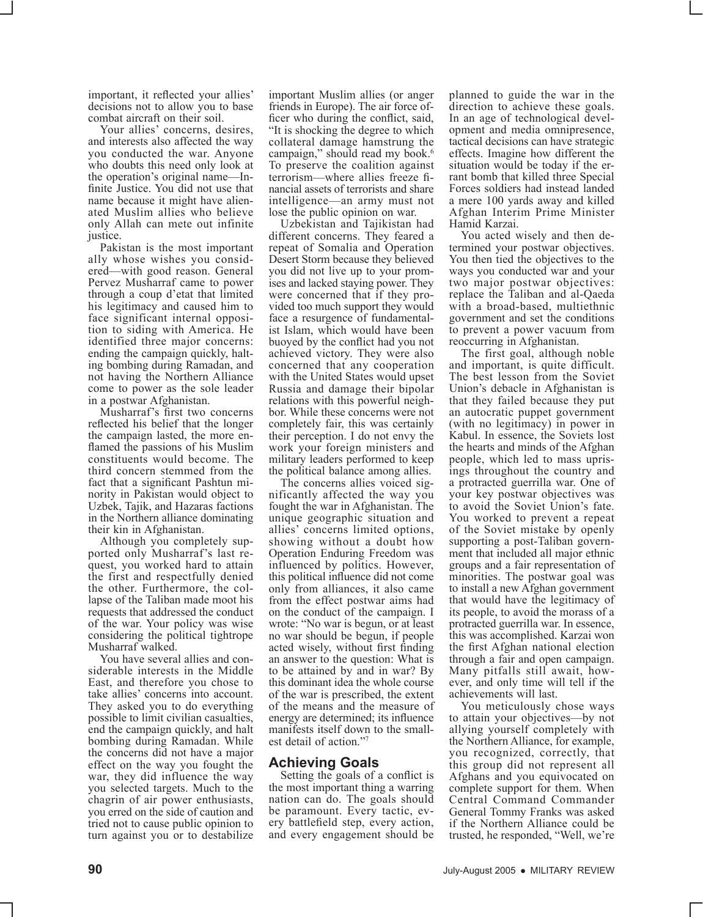important, it reflected your allies' decisions not to allow you to base combat aircraft on their soil.

Your allies' concerns, desires, and interests also affected the way you conducted the war. Anyone who doubts this need only look at the operation's original name—In- finite Justice. You did not use that name because it might have alienated Muslim allies who believe only Allah can mete out infinite justice.

Pakistan is the most important<br>ally whose wishes you considered—with good reason. General Pervez Musharraf came to power through a coup d'etat that limited his legitimacy and caused him to face significant internal opposi- tion to siding with America. He identified three major concerns: ending the campaign quickly, halt-<br>ing bombing during Ramadan, and not having the Northern Alliance come to power as the sole leader in a postwar Afghanistan.

Musharraf's first two concerns reflected his belief that the longer the campaign lasted, the more en- flamed the passions of his Muslim constituents would become. The third concern stemmed from the<br>fact that a significant Pashtun minority in Pakistan would object to Uzbek, Tajik, and Hazaras factions in the Northern alliance dominating

their kin in Afghanistan.<br>Although you completely supported only Musharraf's last request, you worked hard to attain the first and respectfully denied the other. Furthermore, the col- lapse of the Taliban made moot his requests that addressed the conduct of the war. Your policy was wise considering the political tightrope Musharraf walked.

You have several allies and considerable interests in the Middle East, and therefore you chose to take allies' concerns into account. They asked you to do everything possible to limit civilian casualties, end the campaign quickly, and halt bombing during Ramadan. While the concerns did not have a major effect on the way you fought the war, they did influence the way you selected targets. Much to the chagrin of air power enthusiasts, you erred on the side of caution and tried not to cause public opinion to turn against you or to destabilize

important Muslim allies (or anger friends in Europe). The air force officer who during the conflict, said, "It is shocking the degree to which collateral damage hamstrung the campaign," should read my book.<sup>6</sup> To preserve the coalition against terrorism—where allies freeze financial assets of terrorists and share intelligence—an army must not lose the public opinion on war.

Uzbekistan and Tajikistan had different concerns. They feared a repeat of Somalia and Operation Desert Storm because they believed you did not live up to your promises and lacked staying power. They were concerned that if they provided too much support they would face a resurgence of fundamentalist Islam, which would have been buoyed by the conflict had you not achieved victory. They were also concerned that any cooperation with the United States would upset Russia and damage their bipolar relations with this powerful neighbor. While these concerns were not completely fair, this was certainly their perception. I do not envy the work your foreign ministers and military leaders performed to keep the political balance among allies.

The concerns allies voiced significantly affected the way you fought the war in Afghanistan. The unique geographic situation and allies' concerns limited options, showing without a doubt how Operation Enduring Freedom was influenced by politics. However, this political influence did not come only from alliances, it also came from the effect postwar aims had on the conduct of the campaign. I wrote: "No war is begun, or at least no war should be begun, if people acted wisely, without first finding an answer to the question: What is to be attained by and in war? By this dominant idea the whole course of the war is prescribed, the extent of the means and the measure of energy are determined; its influence manifests itself down to the smallest detail of action."7

#### **Achieving Goals**

Setting the goals of a conflict is the most important thing a warring nation can do. The goals should be paramount. Every tactic, every battlefield step, every action, and every engagement should be planned to guide the war in the direction to achieve these goals. In an age of technological development and media omnipresence, tactical decisions can have strategic effects. Imagine how different the rant bomb that killed three Special Forces soldiers had instead landed a mere 100 yards away and killed Afghan Interim Prime Minister

Hamid Karzai.<br>You acted wisely and then determined your postwar objectives. You then tied the objectives to the ways you conducted war and your two major postwar objectives: replace the Taliban and al-Qaeda with a broad-based, multiethnic government and set the conditions to prevent a power vacuum from reoccurring in Afghanistan.

The first goal, although noble and important, is quite difficult. The best lesson from the Soviet Union's debacle in Afghanistan is that they failed because they put an autocratic puppet government (with no legitimacy) in power in Kabul. In essence, the Soviets lost the hearts and minds of the Afghan people, which led to mass upris- ings throughout the country and a protracted guerrilla war. One of your key postwar objectives was to avoid the Soviet Union's fate. You worked to prevent a repeat of the Soviet mistake by openly supporting a post-Taliban govern-<br>ment that included all major ethnic groups and a fair representation of minorities. The postwar goal was to install a new Afghan government that would have the legitimacy of its people, to avoid the morass of a protracted guerrilla war. In essence, this was accomplished. Karzai won the first Afghan national election through a fair and open campaign. Many pitfalls still await, however, and only time will tell if the achievements will last.

You meticulously chose ways to attain your objectives—by not allying yourself completely with the Northern Alliance, for example, you recognized, correctly, that this group did not represent all Afghans and you equivocated on complete support for them. When Central Command Commander General Tommy Franks was asked if the Northern Alliance could be trusted, he responded, "Well, we're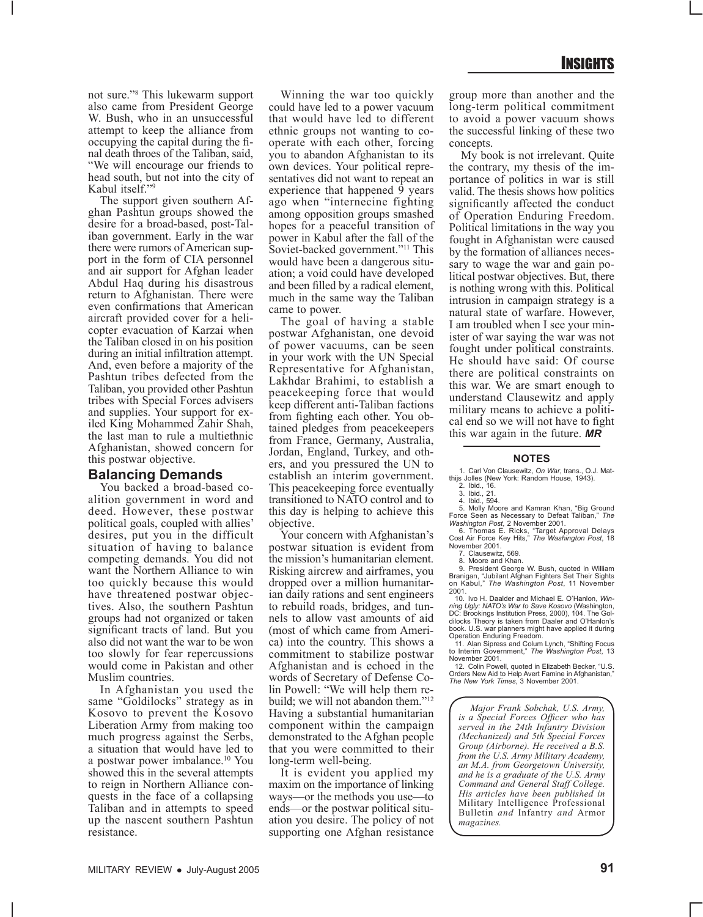not sure."8 This lukewarm support also came from President George W. Bush, who in an unsuccessful attempt to keep the alliance from occupying the capital during the final death throes of the Taliban, said, "We will encourage our friends to head south, but not into the city of Kabul itself."9

The support given southern Afghan Pashtun groups showed the desire for a broad-based, post-Taliban government. Early in the war there were rumors of American support in the form of CIA personnel and air support for Afghan leader Abdul Haq during his disastrous return to Afghanistan. There were even confirmations that American aircraft provided cover for a helicopter evacuation of Karzai when the Taliban closed in on his position during an initial infiltration attempt. And, even before a majority of the Pashtun tribes defected from the Taliban, you provided other Pashtun tribes with Special Forces advisers and supplies. Your support for exiled King Mohammed Zahir Shah, the last man to rule a multiethnic Afghanistan, showed concern for this postwar objective.

#### **Balancing Demands**

You backed a broad-based coalition government in word and deed. However, these postwar political goals, coupled with allies' desires, put you in the difficult situation of having to balance competing demands. You did not want the Northern Alliance to win too quickly because this would have threatened postwar objectives. Also, the southern Pashtun groups had not organized or taken significant tracts of land. But you also did not want the war to be won too slowly for fear repercussions would come in Pakistan and other Muslim countries.

In Afghanistan you used the same "Goldilocks" strategy as in Kosovo to prevent the Kosovo Liberation Army from making too much progress against the Serbs, a situation that would have led to a postwar power imbalance.10 You showed this in the several attempts to reign in Northern Alliance conquests in the face of a collapsing Taliban and in attempts to speed up the nascent southern Pashtun resistance.

Winning the war too quickly could have led to a power vacuum that would have led to different ethnic groups not wanting to cooperate with each other, forcing you to abandon Afghanistan to its own devices. Your political representatives did not want to repeat an experience that happened  $\overline{9}$  years ago when "internecine fighting among opposition groups smashed hopes for a peaceful transition of power in Kabul after the fall of the Soviet-backed government."<sup>11</sup> This would have been a dangerous situation; a void could have developed and been filled by a radical element, much in the same way the Taliban came to power.

The goal of having a stable postwar Afghanistan, one devoid of power vacuums, can be seen in your work with the UN Special Representative for Afghanistan, Lakhdar Brahimi, to establish a peacekeeping force that would keep different anti-Taliban factions from fighting each other. You obtained pledges from peacekeepers from France, Germany, Australia, Jordan, England, Turkey, and others, and you pressured the UN to establish an interim government. This peacekeeping force eventually transitioned to NATO control and to this day is helping to achieve this objective.

Your concern with Afghanistan's postwar situation is evident from the mission's humanitarian element. Risking aircrew and airframes, you dropped over a million humanitarian daily rations and sent engineers to rebuild roads, bridges, and tunnels to allow vast amounts of aid (most of which came from America) into the country. This shows a commitment to stabilize postwar Afghanistan and is echoed in the words of Secretary of Defense Colin Powell: "We will help them rebuild; we will not abandon them."<sup>12</sup> Having a substantial humanitarian component within the campaign demonstrated to the Afghan people that you were committed to their long-term well-being.

It is evident you applied my maxim on the importance of linking ways—or the methods you use—to ends—or the postwar political situation you desire. The policy of not supporting one Afghan resistance

group more than another and the long-term political commitment to avoid a power vacuum shows the successful linking of these two concepts.

My book is not irrelevant. Quite the contrary, my thesis of the importance of politics in war is still valid. The thesis shows how politics significantly affected the conduct of Operation Enduring Freedom. Political limitations in the way you fought in Afghanistan were caused by the formation of alliances necessary to wage the war and gain political postwar objectives. But, there is nothing wrong with this. Political intrusion in campaign strategy is a natural state of warfare. However, I am troubled when I see your minister of war saying the war was not fought under political constraints. He should have said: Of course there are political constraints on this war. We are smart enough to understand Clausewitz and apply military means to achieve a political end so we will not have to fight this war again in the future. *MR*

#### **NOTES**

1. Carl Von Clausewitz, *On War*, trans., O.J. Mat-thijs Jolles (New York: Random House, 1943).

- 2. Ibid., 16. 3. Ibid., 21.
- 

4. Ibid., 594. 5. Molly Moore and Kamran Khan, "Big Ground Force Seen as Necessary to Defeat Taliban," *The Washington Post*, 2 November 2001.

6. Thomas E. Ricks, "Target Approval Delays Cost Air Force Key Hits," *The Washington Post*, 18 November 2001.

7. Clausewitz, 569.

8. Moore and Khan. 9. President George W. Bush, quoted in William Branigan, "Jubilant Afghan Fighters Set Their Sights on Kabul," *The Washington Post*, 11 November 2001.

10. Ivo H. Daalder and Michael E. O'Hanlon, *Win-ning Ugly: NATO's War to Save Kosovo* (Washington, DC: Brookings Institution Press, 2000), 104. The Gol-dilocks Theory is taken from Daaler and O'Hanlon's book. U.S. war planners might have applied it during Operation Enduring Freedom.

11. Alan Sipress and Colum Lynch, "Shifting Focus to Interim Government," *The Washington Post*, 13 November 2001.

12. Colin Powell, quoted in Elizabeth Becker, "U.S. Orders New Aid to Help Avert Famine in Afghanistan," *The New York Times*, 3 November 2001.

*Major Frank Sobchak, U.S. Army, is a Special Forces Officer who has served in the 24th Infantry Division (Mechanized) and 5th Special Forces Group (Airborne). He received a B.S. from the U.S. Army Military Academy, an M.A. from Georgetown University, and he is a graduate of the U.S. Army Command and General Staff College. His articles have been published in*  Military Intelligence Professional Bulletin *and* Infantry *and* Armor *magazines.*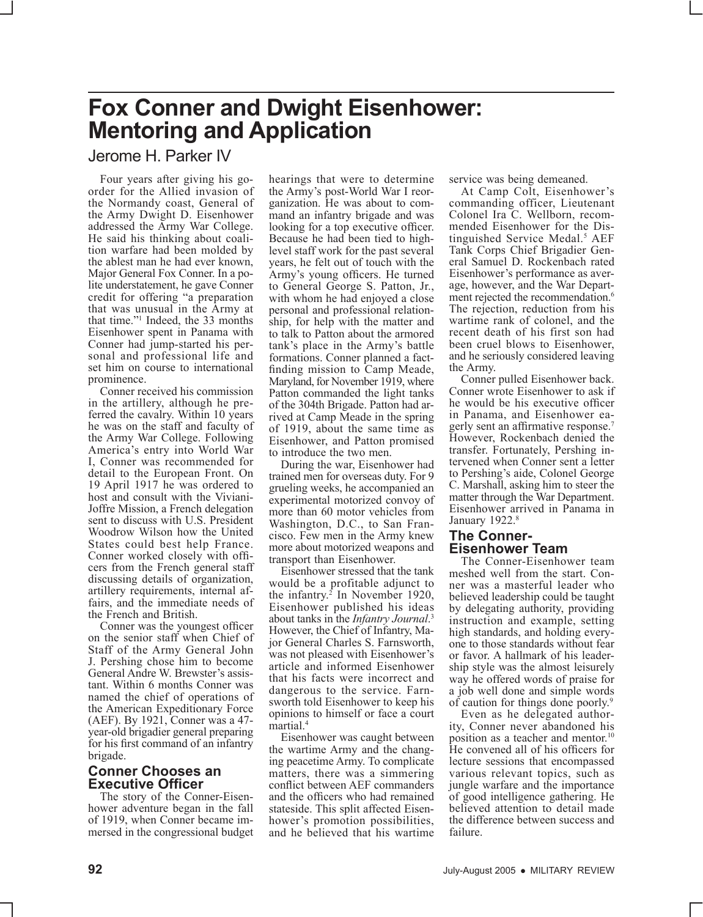### **Fox Conner and Dwight Eisenhower: Mentoring and Application**

Jerome H. Parker IV

Four years after giving his goorder for the Allied invasion of the Normandy coast, General of the Army Dwight D. Eisenhower addressed the Army War College. He said his thinking about coali- tion warfare had been molded by the ablest man he had ever known, Major General Fox Conner. In a po-<br>lite understatement, he gave Conner credit for offering "a preparation that was unusual in the Army at that time."1 Indeed, the 33 months Eisenhower spent in Panama with Conner had jump-started his per- sonal and professional life and set him on course to international prominence.

Conner received his commission in the artillery, although he pre- ferred the cavalry. Within 10 years he was on the staff and faculty of the Army War College. Following America's entry into World War I, Conner was recommended for detail to the European Front. On 19 April 1917 he was ordered to host and consult with the Viviani-Joffre Mission, a French delegation sent to discuss with U.S. President Woodrow Wilson how the United States could best help France. Conner worked closely with officers from the French general staff discussing details of organization, artillery requirements, internal affairs, and the immediate needs of the French and British.

Conner was the youngest officer on the senior staff when Chief of Staff of the Army General John J. Pershing chose him to become General Andre W. Brewster's assistant. Within 6 months Conner was named the chief of operations of the American Expeditionary Force (AEF). By 1921, Conner was a 47 year-old brigadier general preparing for his first command of an infantry brigade.

#### **Conner Chooses an Executive Officer**

The story of the Conner-Eisenhower adventure began in the fall of 1919, when Conner became immersed in the congressional budget hearings that were to determine the Army's post-World War I reorganization. He was about to command an infantry brigade and was looking for a top executive officer. Because he had been tied to highlevel staff work for the past several years, he felt out of touch with the Army's young officers. He turned to General George S. Patton, Jr., with whom he had enjoyed a close personal and professional relationship, for help with the matter and to talk to Patton about the armored tank's place in the Army's battle formations. Conner planned a factfinding mission to Camp Meade, Maryland, for November 1919, where Patton commanded the light tanks of the 304th Brigade. Patton had arrived at Camp Meade in the spring of 1919, about the same time as Eisenhower, and Patton promised to introduce the two men.

During the war, Eisenhower had trained men for overseas duty. For 9 grueling weeks, he accompanied an experimental motorized convoy of more than 60 motor vehicles from Washington, D.C., to San Francisco. Few men in the Army knew more about motorized weapons and transport than Eisenhower.

Eisenhower stressed that the tank would be a profitable adjunct to the infantry.<sup>2</sup> In November 1920, Eisenhower published his ideas about tanks in the *Infantry Journal*. 3 However, the Chief of Infantry, Major General Charles S. Farnsworth, was not pleased with Eisenhower's article and informed Eisenhower that his facts were incorrect and dangerous to the service. Farnsworth told Eisenhower to keep his opinions to himself or face a court martial.4

Eisenhower was caught between the wartime Army and the changing peacetime Army. To complicate matters, there was a simmering conflict between AEF commanders and the officers who had remained stateside. This split affected Eisenhower's promotion possibilities, and he believed that his wartime service was being demeaned.

At Camp Colt, Eisenhower's commanding officer, Lieutenant<br>Colonel Ira C. Wellborn, recom-Colonel Ira C. Wellborn, recom-<br>mended Eisenhower for the Dis-<br>tinguished Service Medal.<sup>5</sup> AEF Tank Corps Chief Brigadier Gen- eral Samuel D. Rockenbach rated Eisenhower's performance as average, however, and the War Depart-<br>ment rejected the recommendation.<sup>6</sup> The rejection, reduction from his wartime rank of colonel, and the recent death of his first son had been cruel blows to Eisenhower, and he seriously considered leaving the Army.

Conner pulled Eisenhower back. Conner wrote Eisenhower to ask if he would be his executive officer in Panama, and Eisenhower eagerly sent an affirmative response.<sup>7</sup> However, Rockenbach denied the transfer. Fortunately, Pershing in- tervened when Conner sent a letter to Pershing's aide, Colonel George C. Marshall, asking him to steer the matter through the War Department. Eisenhower arrived in Panama in January 1922.<sup>8</sup>

#### **The Conner-Eisenhower Team**

The Conner-Eisenhower team meshed well from the start. Conner was a masterful leader who believed leadership could be taught by delegating authority, providing instruction and example, setting high standards, and holding everyone to those standards without fear or favor. A hallmark of his leadership style was the almost leisurely way he offered words of praise for a job well done and simple words of caution for things done poorly.9

Even as he delegated authority, Conner never abandoned his position as a teacher and mentor.<sup>10</sup> He convened all of his officers for lecture sessions that encompassed various relevant topics, such as jungle warfare and the importance of good intelligence gathering. He believed attention to detail made the difference between success and failure.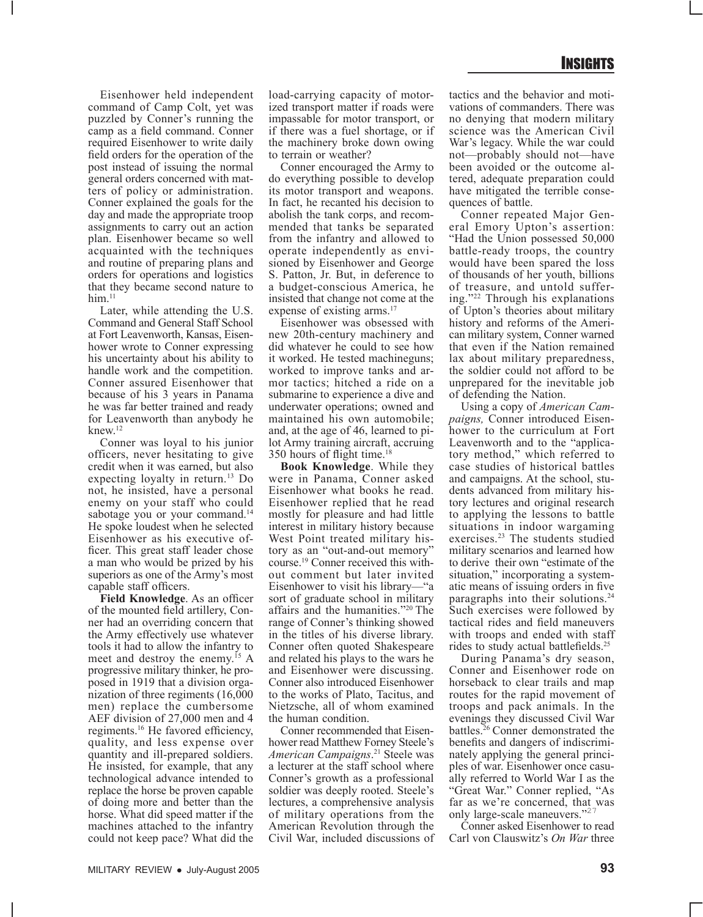Eisenhower held independent command of Camp Colt, yet was puzzled by Conner's running the camp as a field command. Conner required Eisenhower to write daily field orders for the operation of the post instead of issuing the normal general orders concerned with matters of policy or administration. Conner explained the goals for the day and made the appropriate troop assignments to carry out an action plan. Eisenhower became so well acquainted with the techniques and routine of preparing plans and orders for operations and logistics that they became second nature to  $him.<sup>11</sup>$ 

Later, while attending the U.S. Command and General Staff School at Fort Leavenworth, Kansas, Eisenhower wrote to Conner expressing his uncertainty about his ability to handle work and the competition. Conner assured Eisenhower that because of his 3 years in Panama he was far better trained and ready for Leavenworth than anybody he knew.12

Conner was loyal to his junior officers, never hesitating to give credit when it was earned, but also expecting loyalty in return.<sup>13</sup> Do not, he insisted, have a personal enemy on your staff who could sabotage you or your command.<sup>14</sup> He spoke loudest when he selected Eisenhower as his executive officer. This great staff leader chose a man who would be prized by his superiors as one of the Army's most capable staff officers.

**Field Knowledge**. As an officer of the mounted field artillery, Conner had an overriding concern that the Army effectively use whatever tools it had to allow the infantry to meet and destroy the enemy.<sup>15</sup> A progressive military thinker, he proposed in 1919 that a division organization of three regiments (16,000 men) replace the cumbersome AEF division of 27,000 men and 4 regiments.16 He favored efficiency, quality, and less expense over quantity and ill-prepared soldiers. He insisted, for example, that any technological advance intended to replace the horse be proven capable of doing more and better than the horse. What did speed matter if the machines attached to the infantry could not keep pace? What did the

load-carrying capacity of motorized transport matter if roads were impassable for motor transport, or if there was a fuel shortage, or if the machinery broke down owing to terrain or weather?

Conner encouraged the Army to do everything possible to develop its motor transport and weapons. In fact, he recanted his decision to abolish the tank corps, and recommended that tanks be separated from the infantry and allowed to operate independently as envisioned by Eisenhower and George S. Patton, Jr. But, in deference to a budget-conscious America, he insisted that change not come at the expense of existing arms.<sup>17</sup>

Eisenhower was obsessed with new 20th-century machinery and did whatever he could to see how it worked. He tested machineguns; worked to improve tanks and armor tactics; hitched a ride on a submarine to experience a dive and underwater operations; owned and maintained his own automobile; and, at the age of 46, learned to pilot Army training aircraft, accruing 350 hours of flight time.18

**Book Knowledge**. While they were in Panama, Conner asked Eisenhower what books he read. Eisenhower replied that he read mostly for pleasure and had little interest in military history because West Point treated military history as an "out-and-out memory" course.19 Conner received this without comment but later invited Eisenhower to visit his library—"a sort of graduate school in military affairs and the humanities."20 The range of Conner's thinking showed in the titles of his diverse library. Conner often quoted Shakespeare and related his plays to the wars he and Eisenhower were discussing. Conner also introduced Eisenhower to the works of Plato, Tacitus, and Nietzsche, all of whom examined the human condition.

Conner recommended that Eisenhower read Matthew Forney Steele's *American Campaigns*. 21 Steele was a lecturer at the staff school where Conner's growth as a professional soldier was deeply rooted. Steele's lectures, a comprehensive analysis of military operations from the American Revolution through the Civil War, included discussions of

tactics and the behavior and motivations of commanders. There was no denying that modern military science was the American Civil War's legacy. While the war could not—probably should not—have been avoided or the outcome altered, adequate preparation could have mitigated the terrible consequences of battle.

Conner repeated Major General Emory Upton's assertion: "Had the Union possessed 50,000 battle-ready troops, the country would have been spared the loss of thousands of her youth, billions of treasure, and untold suffering."22 Through his explanations of Upton's theories about military history and reforms of the American military system, Conner warned that even if the Nation remained lax about military preparedness, the soldier could not afford to be unprepared for the inevitable job of defending the Nation.

Using a copy of *American Campaigns,* Conner introduced Eisenhower to the curriculum at Fort Leavenworth and to the "applicatory method," which referred to case studies of historical battles and campaigns. At the school, students advanced from military history lectures and original research to applying the lessons to battle situations in indoor wargaming exercises.23 The students studied military scenarios and learned how to derive their own "estimate of the situation," incorporating a systematic means of issuing orders in five paragraphs into their solutions.24 Such exercises were followed by tactical rides and field maneuvers with troops and ended with staff rides to study actual battlefields.<sup>25</sup>

During Panama's dry season, Conner and Eisenhower rode on horseback to clear trails and map routes for the rapid movement of troops and pack animals. In the evenings they discussed Civil War battles.26 Conner demonstrated the benefits and dangers of indiscriminately applying the general principles of war. Eisenhower once casually referred to World War I as the "Great War." Conner replied, "As far as we're concerned, that was only large-scale maneuvers."<sup>27</sup>

Conner asked Eisenhower to read Carl von Clauswitz's *On War* three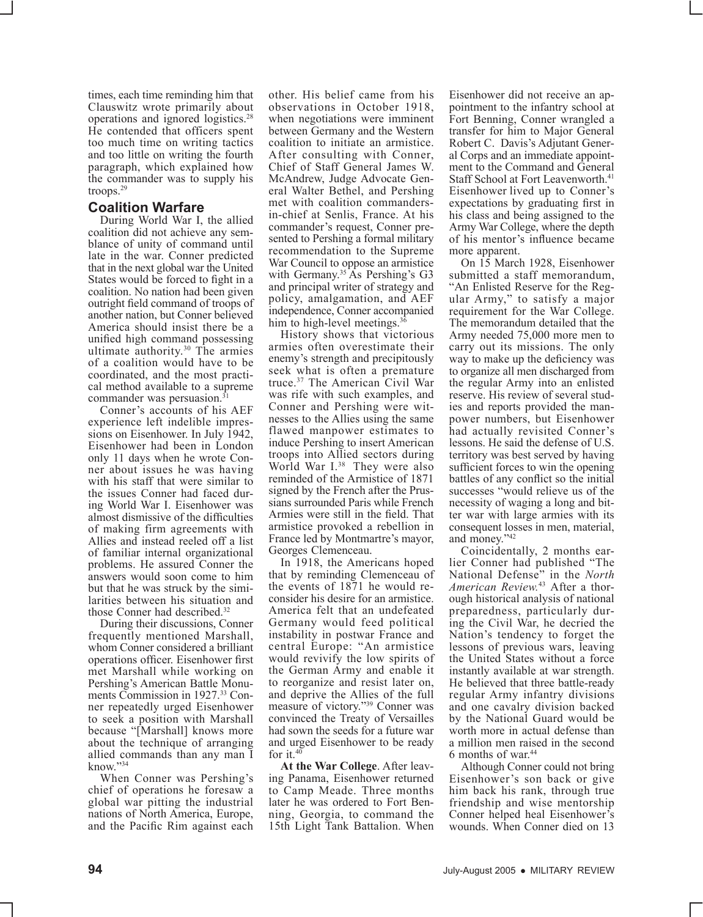times, each time reminding him that Clauswitz wrote primarily about operations and ignored logistics.28 He contended that officers spent too much time on writing tactics and too little on writing the fourth paragraph, which explained how the commander was to supply his troops.29

#### **Coalition Warfare**

During World War I, the allied coalition did not achieve any semblance of unity of command until late in the war. Conner predicted that in the next global war the United States would be forced to fight in a coalition. No nation had been given outright field command of troops of another nation, but Conner believed America should insist there be a unified high command possessing ultimate authority.30 The armies of a coalition would have to be coordinated, and the most practical method available to a supreme commander was persuasion. $3$ 

Conner's accounts of his AEF experience left indelible impressions on Eisenhower. In July 1942, Eisenhower had been in London only 11 days when he wrote Conner about issues he was having with his staff that were similar to the issues Conner had faced during World War I. Eisenhower was almost dismissive of the difficulties of making firm agreements with Allies and instead reeled off a list of familiar internal organizational problems. He assured Conner the answers would soon come to him but that he was struck by the similarities between his situation and those Conner had described.<sup>32</sup>

During their discussions, Conner frequently mentioned Marshall, whom Conner considered a brilliant operations officer. Eisenhower first met Marshall while working on Pershing's American Battle Monuments Commission in 1927.33 Conner repeatedly urged Eisenhower to seek a position with Marshall because "[Marshall] knows more about the technique of arranging allied commands than any man I know."34

When Conner was Pershing's chief of operations he foresaw a global war pitting the industrial nations of North America, Europe, and the Pacific Rim against each

other. His belief came from his observations in October 1918, when negotiations were imminent between Germany and the Western coalition to initiate an armistice. After consulting with Conner, Chief of Staff General James W. McAndrew, Judge Advocate General Walter Bethel, and Pershing met with coalition commandersin-chief at Senlis, France. At his commander's request, Conner presented to Pershing a formal military recommendation to the Supreme War Council to oppose an armistice with Germany.<sup>35</sup> As Pershing's G3 and principal writer of strategy and policy, amalgamation, and AEF independence, Conner accompanied him to high-level meetings.<sup>36</sup>

History shows that victorious armies often overestimate their enemy's strength and precipitously seek what is often a premature truce.37 The American Civil War was rife with such examples, and Conner and Pershing were witnesses to the Allies using the same flawed manpower estimates to induce Pershing to insert American troops into Allied sectors during World War I.<sup>38</sup> They were also reminded of the Armistice of 1871 signed by the French after the Prussians surrounded Paris while French Armies were still in the field. That armistice provoked a rebellion in France led by Montmartre's mayor, Georges Clemenceau.

In 1918, the Americans hoped that by reminding Clemenceau of the events of 1871 he would reconsider his desire for an armistice. America felt that an undefeated Germany would feed political instability in postwar France and central Europe: "An armistice would revivify the low spirits of the German Army and enable it to reorganize and resist later on, and deprive the Allies of the full measure of victory."39 Conner was convinced the Treaty of Versailles had sown the seeds for a future war and urged Eisenhower to be ready for it.<sup>40</sup>

**At the War College**. After leaving Panama, Eisenhower returned to Camp Meade. Three months later he was ordered to Fort Benning, Georgia, to command the 15th Light Tank Battalion. When

Eisenhower did not receive an appointment to the infantry school at Fort Benning, Conner wrangled a transfer for him to Major General Robert C. Davis's Adjutant General Corps and an immediate appointment to the Command and General Staff School at Fort Leavenworth.<sup>41</sup> Eisenhower lived up to Conner's expectations by graduating first in his class and being assigned to the Army War College, where the depth of his mentor's influence became more apparent.

On 15 March 1928, Eisenhower submitted a staff memorandum, "An Enlisted Reserve for the Regular Army," to satisfy a major requirement for the War College. The memorandum detailed that the Army needed 75,000 more men to carry out its missions. The only way to make up the deficiency was to organize all men discharged from the regular Army into an enlisted reserve. His review of several studies and reports provided the manpower numbers, but Eisenhower had actually revisited Conner's lessons. He said the defense of U.S. territory was best served by having sufficient forces to win the opening battles of any conflict so the initial successes "would relieve us of the necessity of waging a long and bitter war with large armies with its consequent losses in men, material, and money."42

Coincidentally, 2 months earlier Conner had published "The National Defense" in the *North American Review.*<sup>43</sup> After a thorough historical analysis of national preparedness, particularly during the Civil War, he decried the Nation's tendency to forget the lessons of previous wars, leaving the United States without a force instantly available at war strength. He believed that three battle-ready regular Army infantry divisions and one cavalry division backed by the National Guard would be worth more in actual defense than a million men raised in the second 6 months of war.44

Although Conner could not bring Eisenhower's son back or give him back his rank, through true friendship and wise mentorship Conner helped heal Eisenhower's wounds. When Conner died on 13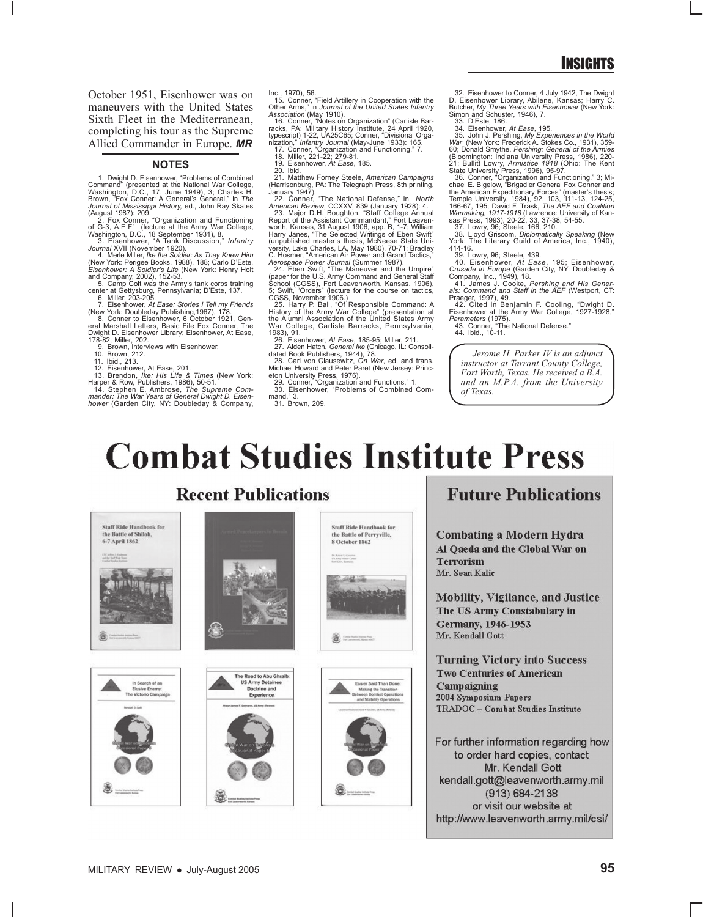October 1951, Eisenhower was on maneuvers with the United States Sixth Fleet in the Mediterranean, completing his tour as the Supreme Allied Commander in Europe. *MR*

#### **NOTES**

1. Dwight D. Eisenhower, "Problems of Combined Command" (presented at the National War College, Washington, D.C., 17, June 1949), 3; Charles H.

Brown, "Fox Conner: A General's General," in The<br>
Journal of Mississippi History, ed., John Ray Skates<br>
(August 1987): 209.<br>
2. Fox Conner, "Organization and Functioning<br>
2. Fox Conner, "Organization and Functioning<br>
of G-

10. Brown, 212.<br>12. Eisenhower, At Ease, 201.<br>12. Eisenhower, At Ease, 201.<br>Harper & Row, Publishers, 1986), 50-51.<br>Harper & Row, Publishers, 1986), 50-51.<br>14. Stephen E. Ambrose, The Supreme Com-<br>mower (Garden City, NY: D

Inc., 1970), 56.<br>
1.5. Conner, "Field Artillery in Cooperation with the<br>
Other Arms," in Journal of the United States Infantry<br>
Association (May 1910).<br>
16. Conner, "Notes on Organization" (Carlisle Bar-<br>
racks, PA: Milita

19. Eisenhower, *At Ease*, 185.

20. Ibid. Thathew Forney Steele, *American Campaigns*<br>
(Harrisonburg, PA: The Telegraph Press, 8th printing,<br>
January 1947).<br>
22. Conner, "The National Defense," in *North*<br>
22. Major D.H. Boughton, "Staff College Amual<br>
2

Aerospace Power Journal (Summer 1987).<br>
24. Eben Swift, "The Maneuver and the Umpire"<br>
(paper for the U.S. Army Command and General Staff<br>
School (CGSS), Fort Leavenworth, Kansas. 1906),<br>
5; Swift, "Orders" (lecture for th

1983), 91.<br>26. Eisenhower, *At Ease*, 185-95; Miller, 211.<br>27. Alden Hatch, *General Ike* (Chicago, IL: Consoli-<br>dated Book Publishers, 1944), 78.<br>28. Carl von Clausewitz, *On War*, ed. and trans.<br>Michael Howard and Peter

eton University Press, 1976). 29. Conner, "Organization and Functions," 1. 30. Eisenhower, "Problems of Combined Com $m$ and,"  $3$ 

31. Brown, 209.

32. Eisenhower to Conner, 4 July 1942, The Dwight D. Eisenhower Library, Abilene, Kansas; Harry C. Butcher, *My Three Years with Eisenhower* (New York: Simon and Schuster, 1946), 7.

33. D'Este, 186.<br>
26. D'Este, 186.<br>
36. John J. Pershing, My Experiences in the World<br>
36. John J. Pershing, My Experiences in the World<br>
War (New York: Frederick A. Stokes Co., 1931), 359-<br>
60; Donald Smythe, *Pershing*:

40. Eisenhower, *Af Ease*, 195; Eisenhower, 40. Eisenhower, *Af Ease, 195*; Eisenhower, Cousade in Europe (Garden City, NY: Doubleday & 41. James J. Cooke, *Pershing and His Gener.*<br>als: Command and Staff in the AEF (Westp

43. Conner, "Th<br>44. Ibid., 10-11.

*Jerome H. Parker IV is an adjunct instructor at Tarrant County College, Fort Worth, Texas. He received a B.A. and an M.P.A. from the University of Texas.*

## **Combat Studies Institute Press**





#### **Future Publications**

Combating a Modern Hydra Al Oaeda and the Global War on Terrorism Mr. Sean Kalic

Mobility, Vigilance, and Justice The US Army Constabulary in Germany, 1946-1953 Mr. Kendall Gott

**Turning Victory into Success Two Centuries of American** Campaigning 2004 Symposium Papers TRADOC - Combat Studies Institute

For further information regarding how to order hard copies, contact Mr. Kendall Gott kendall.gott@leavenworth.army.mil (913) 684-2138 or visit our website at http://www.leavenworth.army.mil/csi/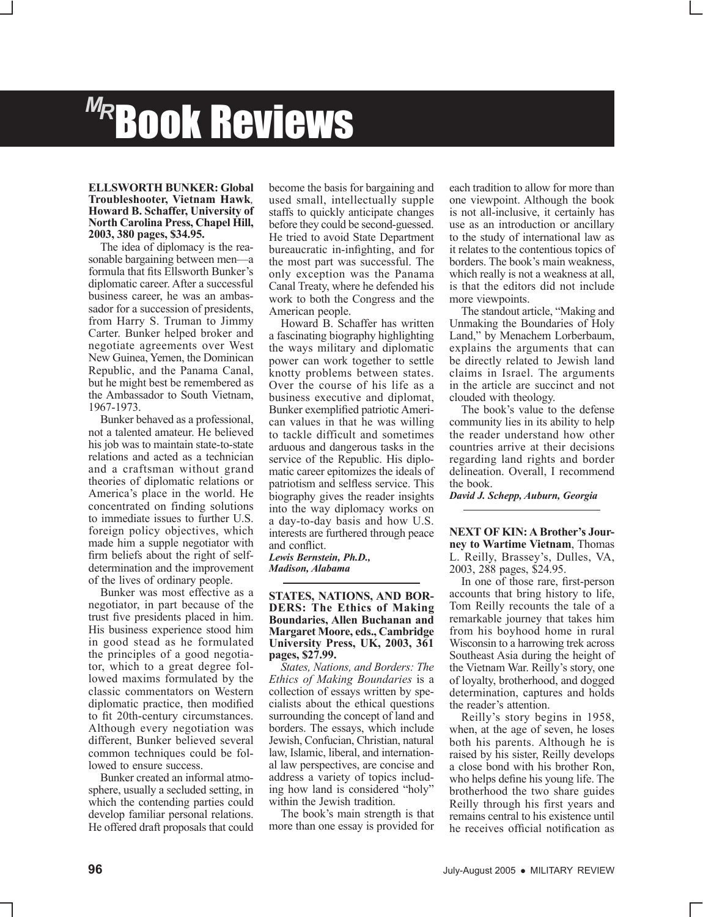# Book Reviews *MR*

#### **ELLSWORTH BUNKER: Global Troubleshooter, Vietnam Hawk***,* **Howard B. Schaffer, University of North Carolina Press, Chapel Hill, 2003, 380 pages, \$34.95.**

The idea of diplomacy is the reasonable bargaining between men—a formula that fits Ellsworth Bunker's diplomatic career. After a successful business career, he was an ambassador for a succession of presidents, from Harry S. Truman to Jimmy Carter. Bunker helped broker and negotiate agreements over West New Guinea, Yemen, the Dominican Republic, and the Panama Canal, but he might best be remembered as the Ambassador to South Vietnam, 1967-1973.

Bunker behaved as a professional, not a talented amateur. He believed his job was to maintain state-to-state relations and acted as a technician and a craftsman without grand theories of diplomatic relations or America's place in the world. He concentrated on finding solutions to immediate issues to further U.S. foreign policy objectives, which made him a supple negotiator with firm beliefs about the right of selfdetermination and the improvement of the lives of ordinary people.

Bunker was most effective as a negotiator, in part because of the trust five presidents placed in him. His business experience stood him in good stead as he formulated the principles of a good negotiator, which to a great degree followed maxims formulated by the classic commentators on Western diplomatic practice, then modified to fit 20th-century circumstances. Although every negotiation was different, Bunker believed several common techniques could be followed to ensure success.

Bunker created an informal atmosphere, usually a secluded setting, in which the contending parties could develop familiar personal relations. He offered draft proposals that could

become the basis for bargaining and used small, intellectually supple staffs to quickly anticipate changes before they could be second-guessed. He tried to avoid State Department bureaucratic in-infighting, and for the most part was successful. The only exception was the Panama Canal Treaty, where he defended his work to both the Congress and the American people.

Howard B. Schaffer has written a fascinating biography highlighting the ways military and diplomatic power can work together to settle knotty problems between states. Over the course of his life as a business executive and diplomat, Bunker exemplified patriotic American values in that he was willing to tackle difficult and sometimes arduous and dangerous tasks in the service of the Republic. His diplomatic career epitomizes the ideals of patriotism and selfless service. This biography gives the reader insights into the way diplomacy works on a day-to-day basis and how U.S. interests are furthered through peace and conflict.

*Lewis Bernstein, Ph.D., Madison, Alabama*

**STATES, NATIONS, AND BOR-DERS: The Ethics of Making Boundaries, Allen Buchanan and Margaret Moore, eds., Cambridge University Press, UK, 2003, 361 pages, \$27.99.**

*States, Nations, and Borders: The Ethics of Making Boundaries* is a collection of essays written by specialists about the ethical questions surrounding the concept of land and borders. The essays, which include Jewish, Confucian, Christian, natural law, Islamic, liberal, and international law perspectives, are concise and address a variety of topics including how land is considered "holy" within the Jewish tradition.

The book's main strength is that more than one essay is provided for each tradition to allow for more than one viewpoint. Although the book is not all-inclusive, it certainly has use as an introduction or ancillary to the study of international law as it relates to the contentious topics of borders. The book's main weakness, which really is not a weakness at all, is that the editors did not include more viewpoints.

The standout article, "Making and Unmaking the Boundaries of Holy Land," by Menachem Lorberbaum, explains the arguments that can be directly related to Jewish land claims in Israel. The arguments in the article are succinct and not clouded with theology.

The book's value to the defense community lies in its ability to help the reader understand how other countries arrive at their decisions regarding land rights and border delineation. Overall, I recommend the book.

*David J. Schepp, Auburn, Georgia*

**NEXT OF KIN: A Brother's Journey to Wartime Vietnam**, Thomas L. Reilly, Brassey's, Dulles, VA, 2003, 288 pages, \$24.95.

In one of those rare, first-person accounts that bring history to life, Tom Reilly recounts the tale of a remarkable journey that takes him from his boyhood home in rural Wisconsin to a harrowing trek across Southeast Asia during the height of the Vietnam War. Reilly's story, one of loyalty, brotherhood, and dogged determination, captures and holds the reader's attention.

Reilly's story begins in 1958, when, at the age of seven, he loses both his parents. Although he is raised by his sister, Reilly develops a close bond with his brother Ron, who helps define his young life. The brotherhood the two share guides Reilly through his first years and remains central to his existence until he receives official notification as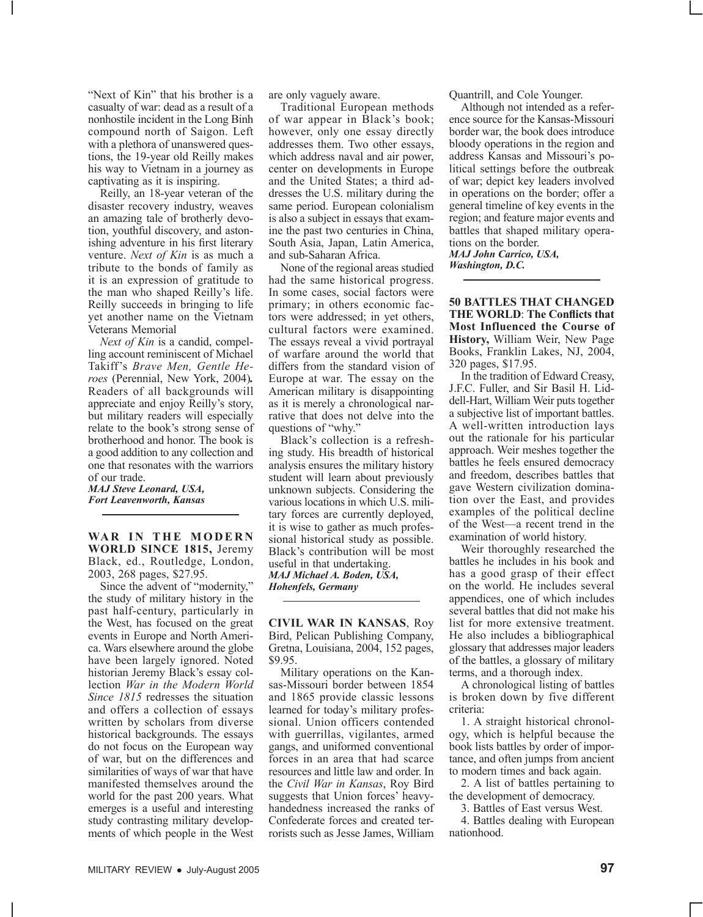"Next of Kin" that his brother is a casualty of war: dead as a result of a nonhostile incident in the Long Binh compound north of Saigon. Left with a plethora of unanswered questions, the 19-year old Reilly makes his way to Vietnam in a journey as captivating as it is inspiring.

Reilly, an 18-year veteran of the disaster recovery industry, weaves an amazing tale of brotherly devotion, youthful discovery, and astonishing adventure in his first literary venture. *Next of Kin* is as much a tribute to the bonds of family as it is an expression of gratitude to the man who shaped Reilly's life. Reilly succeeds in bringing to life yet another name on the Vietnam Veterans Memorial

*Next of Kin* is a candid, compelling account reminiscent of Michael Takiff's *Brave Men, Gentle Heroes* (Perennial, New York, 2004)*.*  Readers of all backgrounds will appreciate and enjoy Reilly's story, but military readers will especially relate to the book's strong sense of brotherhood and honor. The book is a good addition to any collection and one that resonates with the warriors of our trade.

*MAJ Steve Leonard, USA, Fort Leavenworth, Kansas*

**WAR IN THE MODERN WORLD SINCE 1815,** Jeremy Black, ed., Routledge, London, 2003, 268 pages, \$27.95.

Since the advent of "modernity," the study of military history in the past half-century, particularly in the West, has focused on the great events in Europe and North America. Wars elsewhere around the globe have been largely ignored. Noted historian Jeremy Black's essay collection *War in the Modern World Since 1815* redresses the situation and offers a collection of essays written by scholars from diverse historical backgrounds. The essays do not focus on the European way of war, but on the differences and similarities of ways of war that have manifested themselves around the world for the past 200 years. What emerges is a useful and interesting study contrasting military developments of which people in the West are only vaguely aware.

Traditional European methods of war appear in Black's book; however, only one essay directly addresses them. Two other essays, which address naval and air power, center on developments in Europe and the United States; a third addresses the U.S. military during the same period. European colonialism is also a subject in essays that examine the past two centuries in China, South Asia, Japan, Latin America, and sub-Saharan Africa.

None of the regional areas studied had the same historical progress. In some cases, social factors were primary; in others economic factors were addressed; in yet others, cultural factors were examined. The essays reveal a vivid portrayal of warfare around the world that differs from the standard vision of Europe at war. The essay on the American military is disappointing as it is merely a chronological narrative that does not delve into the questions of "why."

Black's collection is a refreshing study. His breadth of historical analysis ensures the military history student will learn about previously unknown subjects. Considering the various locations in which U.S. military forces are currently deployed, it is wise to gather as much professional historical study as possible. Black's contribution will be most useful in that undertaking. *MAJ Michael A. Boden, USA, Hohenfels, Germany*

**CIVIL WAR IN KANSAS**, Roy Bird, Pelican Publishing Company, Gretna, Louisiana, 2004, 152 pages, \$9.95.

Military operations on the Kansas-Missouri border between 1854 and 1865 provide classic lessons learned for today's military professional. Union officers contended with guerrillas, vigilantes, armed gangs, and uniformed conventional forces in an area that had scarce resources and little law and order. In the *Civil War in Kansas*, Roy Bird suggests that Union forces' heavyhandedness increased the ranks of Confederate forces and created terrorists such as Jesse James, William

Quantrill, and Cole Younger.

Although not intended as a reference source for the Kansas-Missouri border war, the book does introduce bloody operations in the region and address Kansas and Missouri's political settings before the outbreak of war; depict key leaders involved in operations on the border; offer a general timeline of key events in the region; and feature major events and battles that shaped military operations on the border. *MAJ John Carrico, USA,* 

*Washington, D.C.*

**50 BATTLES THAT CHANGED THE WORLD**: **The Conflicts that Most Influenced the Course of History,** William Weir, New Page Books, Franklin Lakes, NJ, 2004, 320 pages, \$17.95.

In the tradition of Edward Creasy, J.F.C. Fuller, and Sir Basil H. Liddell-Hart, William Weir puts together a subjective list of important battles. A well-written introduction lays out the rationale for his particular approach. Weir meshes together the battles he feels ensured democracy and freedom, describes battles that gave Western civilization domination over the East, and provides examples of the political decline of the West—a recent trend in the examination of world history.

Weir thoroughly researched the battles he includes in his book and has a good grasp of their effect on the world. He includes several appendices, one of which includes several battles that did not make his list for more extensive treatment. He also includes a bibliographical glossary that addresses major leaders of the battles, a glossary of military terms, and a thorough index.

A chronological listing of battles is broken down by five different criteria:

1. A straight historical chronology, which is helpful because the book lists battles by order of importance, and often jumps from ancient to modern times and back again.

2. A list of battles pertaining to the development of democracy.

3. Battles of East versus West.

4. Battles dealing with European nationhood.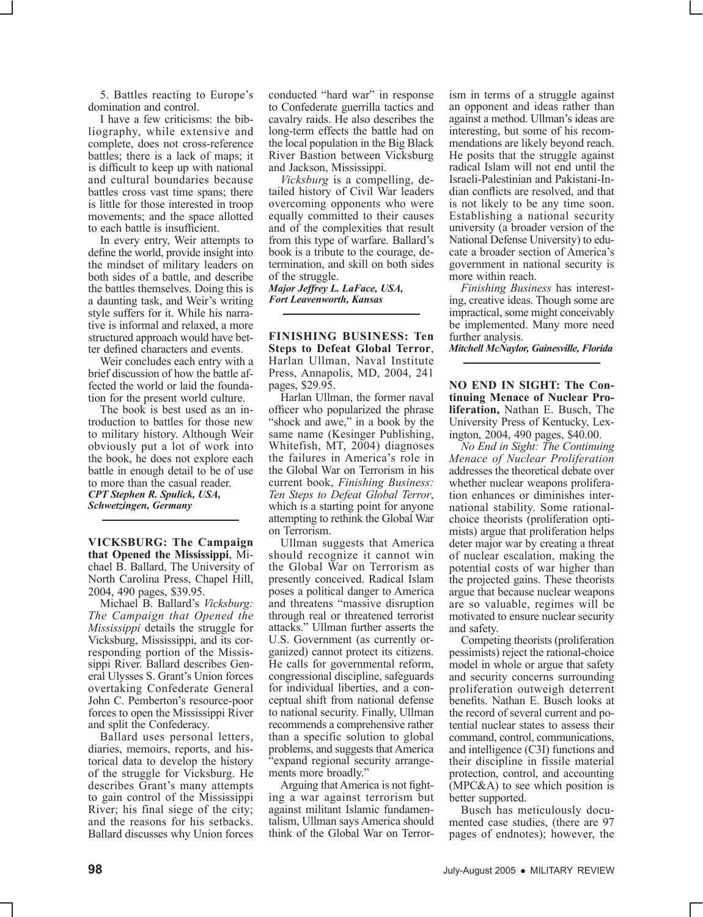5. Battles reacting to Europe's domination and control.

I have a few criticisms: the bibliography, while extensive and complete, does not cross-reference battles; there is a lack of maps; it is difficult to keep up with national and cultural boundaries because battles cross vast time spans; there is little for those interested in troop movements; and the space allotted to each battle is insufficient.

In every entry, Weir attempts to define the world, provide insight into the mindset of military leaders on both sides of a battle, and describe the battles themselves. Doing this is a daunting task, and Weir's writing style suffers for it. While his narrative is informal and relaxed, a more structured approach would have better defined characters and events.

Weir concludes each entry with a brief discussion of how the battle affected the world or laid the foundation for the present world culture.

The book is best used as an introduction to battles for those new to military history. Although Weir obviously put a lot of work into the book, he does not explore each battle in enough detail to be of use to more than the casual reader. *CPT Stephen R. Spulick, USA, Schwetzingen, Germany*

**VICKSBURG: The Campaign that Opened the Mississippi**, Michael B. Ballard, The University of North Carolina Press, Chapel Hill, 2004, 490 pages, \$39.95.

Michael B. Ballard's *Vicksburg: The Campaign that Opened the Mississippi* details the struggle for Vicksburg, Mississippi, and its corresponding portion of the Mississippi River. Ballard describes General Ulysses S. Grant's Union forces overtaking Confederate General John C. Pemberton's resource-poor forces to open the Mississippi River and split the Confederacy.

Ballard uses personal letters, diaries, memoirs, reports, and historical data to develop the history of the struggle for Vicksburg. He describes Grant's many attempts to gain control of the Mississippi River; his final siege of the city; and the reasons for his setbacks. Ballard discusses why Union forces

conducted "hard war" in response to Confederate guerrilla tactics and cavalry raids. He also describes the long-term effects the battle had on the local population in the Big Black River Bastion between Vicksburg and Jackson, Mississippi.

*Vicksburg* is a compelling, detailed history of Civil War leaders overcoming opponents who were equally committed to their causes and of the complexities that result from this type of warfare. Ballard's book is a tribute to the courage, determination, and skill on both sides of the struggle.

*Major Jeffrey L. LaFace, USA, Fort Leavenworth, Kansas*

**FINISHING BUSINESS: Ten Steps to Defeat Global Terror**, Harlan Ullman, Naval Institute Press, Annapolis, MD, 2004, 241 pages, \$29.95.

Harlan Ullman, the former naval officer who popularized the phrase "shock and awe," in a book by the same name (Kesinger Publishing, Whitefish, MT, 2004) diagnoses the failures in America's role in the Global War on Terrorism in his current book, *Finishing Business: Ten Steps to Defeat Global Terror*, which is a starting point for anyone attempting to rethink the Global War on Terrorism.

Ullman suggests that America should recognize it cannot win the Global War on Terrorism as presently conceived. Radical Islam poses a political danger to America and threatens "massive disruption through real or threatened terrorist attacks." Ullman further asserts the U.S. Government (as currently organized) cannot protect its citizens. He calls for governmental reform, congressional discipline, safeguards for individual liberties, and a conceptual shift from national defense to national security. Finally, Ullman recommends a comprehensive rather than a specific solution to global problems, and suggests that America "expand regional security arrangements more broadly."

Arguing that America is not fighting a war against terrorism but against militant Islamic fundamentalism, Ullman says America should think of the Global War on Terrorism in terms of a struggle against an opponent and ideas rather than against a method. Ullman's ideas are interesting, but some of his recommendations are likely beyond reach. He posits that the struggle against radical Islam will not end until the Israeli-Palestinian and Pakistani-Indian conflicts are resolved, and that is not likely to be any time soon. Establishing a national security university (a broader version of the National Defense University) to educate a broader section of America's government in national security is more within reach.

*Finishing Business* has interesting, creative ideas. Though some are impractical, some might conceivably be implemented. Many more need further analysis.

*Mitchell McNaylor, Gainesville, Florida*

**NO END IN SIGHT: The Continuing Menace of Nuclear Proliferation,** Nathan E. Busch, The University Press of Kentucky, Lexington, 2004, 490 pages, \$40.00.

*No End in Sight: The Continuing Menace of Nuclear Proliferation* addresses the theoretical debate over whether nuclear weapons proliferation enhances or diminishes international stability. Some rationalchoice theorists (proliferation optimists) argue that proliferation helps deter major war by creating a threat of nuclear escalation, making the potential costs of war higher than the projected gains. These theorists argue that because nuclear weapons are so valuable, regimes will be motivated to ensure nuclear security and safety.

Competing theorists (proliferation pessimists) reject the rational-choice model in whole or argue that safety and security concerns surrounding proliferation outweigh deterrent benefits. Nathan E. Busch looks at the record of several current and potential nuclear states to assess their command, control, communications, and intelligence (C3I) functions and their discipline in fissile material protection, control, and accounting (MPC&A) to see which position is better supported.

Busch has meticulously documented case studies, (there are 97 pages of endnotes); however, the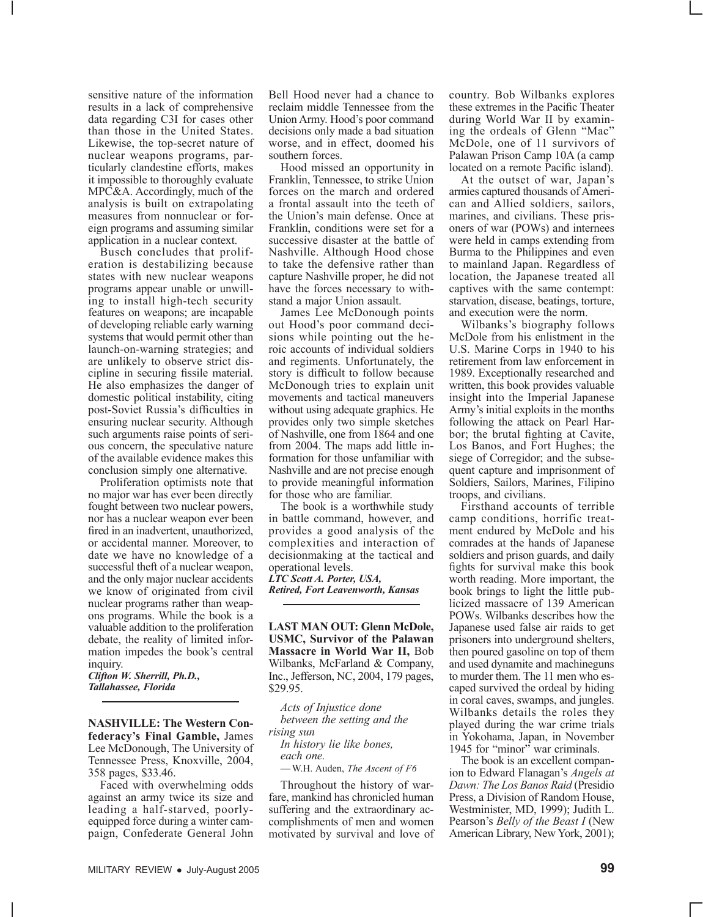sensitive nature of the information results in a lack of comprehensive data regarding C3I for cases other than those in the United States. Likewise, the top-secret nature of nuclear weapons programs, particularly clandestine efforts, makes it impossible to thoroughly evaluate MPC&A. Accordingly, much of the analysis is built on extrapolating measures from nonnuclear or foreign programs and assuming similar application in a nuclear context.

Busch concludes that proliferation is destabilizing because states with new nuclear weapons programs appear unable or unwilling to install high-tech security features on weapons; are incapable of developing reliable early warning systems that would permit other than launch-on-warning strategies; and are unlikely to observe strict discipline in securing fissile material. He also emphasizes the danger of domestic political instability, citing post-Soviet Russia's difficulties in ensuring nuclear security. Although such arguments raise points of serious concern, the speculative nature of the available evidence makes this conclusion simply one alternative.

Proliferation optimists note that no major war has ever been directly fought between two nuclear powers, nor has a nuclear weapon ever been fired in an inadvertent, unauthorized, or accidental manner. Moreover, to date we have no knowledge of a successful theft of a nuclear weapon, and the only major nuclear accidents we know of originated from civil nuclear programs rather than weapons programs. While the book is a valuable addition to the proliferation debate, the reality of limited information impedes the book's central inquiry.

*Clifton W. Sherrill, Ph.D., Tallahassee, Florida*

**NASHVILLE: The Western Confederacy's Final Gamble,** James Lee McDonough, The University of Tennessee Press, Knoxville, 2004, 358 pages, \$33.46.

Faced with overwhelming odds against an army twice its size and leading a half-starved, poorlyequipped force during a winter campaign, Confederate General John

Bell Hood never had a chance to reclaim middle Tennessee from the Union Army. Hood's poor command decisions only made a bad situation worse, and in effect, doomed his southern forces.

Hood missed an opportunity in Franklin, Tennessee, to strike Union forces on the march and ordered a frontal assault into the teeth of the Union's main defense. Once at Franklin, conditions were set for a successive disaster at the battle of Nashville. Although Hood chose to take the defensive rather than capture Nashville proper, he did not have the forces necessary to withstand a major Union assault.

James Lee McDonough points out Hood's poor command decisions while pointing out the heroic accounts of individual soldiers and regiments. Unfortunately, the story is difficult to follow because McDonough tries to explain unit movements and tactical maneuvers without using adequate graphics. He provides only two simple sketches of Nashville, one from 1864 and one from 2004. The maps add little information for those unfamiliar with Nashville and are not precise enough to provide meaningful information for those who are familiar.

The book is a worthwhile study in battle command, however, and provides a good analysis of the complexities and interaction of decisionmaking at the tactical and operational levels. *LTC Scott A. Porter, USA,* 

*Retired, Fort Leavenworth, Kansas*

**LAST MAN OUT: Glenn McDole, USMC, Survivor of the Palawan Massacre in World War II,** Bob Wilbanks, McFarland & Company, Inc., Jefferson, NC, 2004, 179 pages, \$29.95.

*Acts of Injustice done between the setting and the rising sun In history lie like bones, each one.*

—W.H. Auden, *The Ascent of F6*

Throughout the history of warfare, mankind has chronicled human suffering and the extraordinary accomplishments of men and women motivated by survival and love of country. Bob Wilbanks explores these extremes in the Pacific Theater during World War II by examining the ordeals of Glenn "Mac" McDole, one of 11 survivors of Palawan Prison Camp 10A (a camp located on a remote Pacific island).

At the outset of war, Japan's armies captured thousands of American and Allied soldiers, sailors, marines, and civilians. These prisoners of war (POWs) and internees were held in camps extending from Burma to the Philippines and even to mainland Japan. Regardless of location, the Japanese treated all captives with the same contempt: starvation, disease, beatings, torture, and execution were the norm.

Wilbanks's biography follows McDole from his enlistment in the U.S. Marine Corps in 1940 to his retirement from law enforcement in 1989. Exceptionally researched and written, this book provides valuable insight into the Imperial Japanese Army's initial exploits in the months following the attack on Pearl Harbor; the brutal fighting at Cavite, Los Banos, and Fort Hughes; the siege of Corregidor; and the subsequent capture and imprisonment of Soldiers, Sailors, Marines, Filipino troops, and civilians.

Firsthand accounts of terrible camp conditions, horrific treatment endured by McDole and his comrades at the hands of Japanese soldiers and prison guards, and daily fights for survival make this book worth reading. More important, the book brings to light the little publicized massacre of 139 American POWs. Wilbanks describes how the Japanese used false air raids to get prisoners into underground shelters, then poured gasoline on top of them and used dynamite and machineguns to murder them. The 11 men who escaped survived the ordeal by hiding in coral caves, swamps, and jungles. Wilbanks details the roles they played during the war crime trials in Yokohama, Japan, in November 1945 for "minor" war criminals.

The book is an excellent companion to Edward Flanagan's *Angels at Dawn: The Los Banos Raid* (Presidio Press, a Division of Random House, Westminister, MD, 1999); Judith L. Pearson's *Belly of the Beast I* (New American Library, New York, 2001);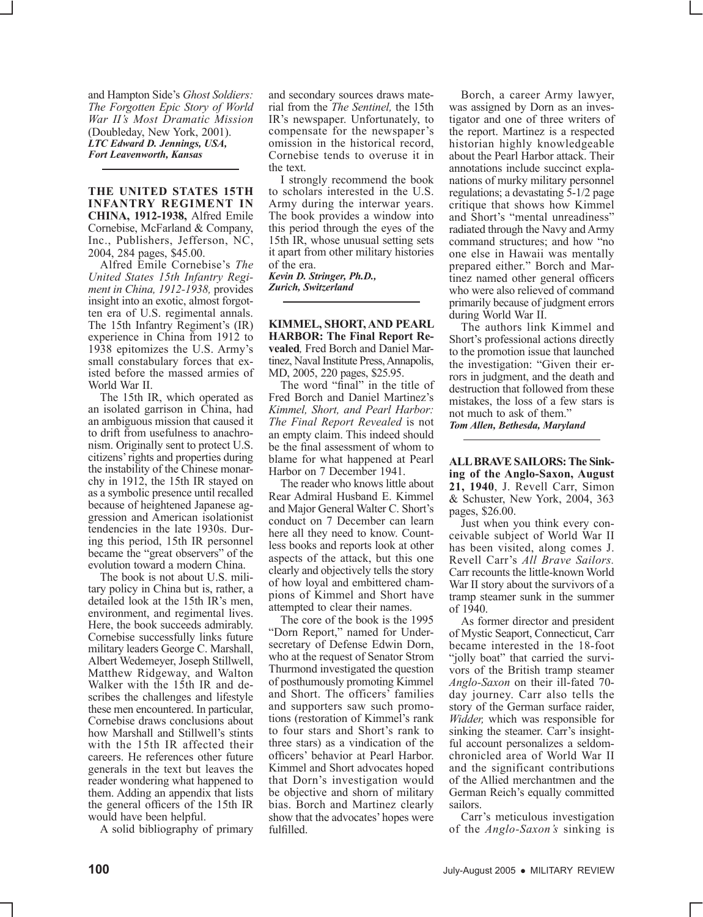and Hampton Side's *Ghost Soldiers: The Forgotten Epic Story of World War II's Most Dramatic Mission*  (Doubleday, New York, 2001). *LTC Edward D. Jennings, USA, Fort Leavenworth, Kansas*

**THE UNITED STATES 15TH INFANTRY REGIMENT IN CHINA, 1912-1938,** Alfred Emile Cornebise, McFarland & Company, Inc., Publishers, Jefferson, NC, 2004, 284 pages, \$45.00.

Alfred Emile Cornebise's *The United States 15th Infantry Regiment in China, 1912-1938,* provides insight into an exotic, almost forgotten era of U.S. regimental annals. The 15th Infantry Regiment's (IR) experience in China from 1912 to 1938 epitomizes the U.S. Army's small constabulary forces that existed before the massed armies of World War II.

The 15th IR, which operated as an isolated garrison in China, had an ambiguous mission that caused it to drift from usefulness to anachronism. Originally sent to protect U.S. citizens' rights and properties during the instability of the Chinese monarchy in 1912, the 15th IR stayed on as a symbolic presence until recalled because of heightened Japanese aggression and American isolationist tendencies in the late 1930s. During this period, 15th IR personnel became the "great observers" of the evolution toward a modern China.

The book is not about U.S. military policy in China but is, rather, a detailed look at the 15th IR's men, environment, and regimental lives. Here, the book succeeds admirably. Cornebise successfully links future military leaders George C. Marshall, Albert Wedemeyer, Joseph Stillwell, Matthew Ridgeway, and Walton Walker with the 15th IR and describes the challenges and lifestyle these men encountered. In particular, Cornebise draws conclusions about how Marshall and Stillwell's stints with the 15th IR affected their careers. He references other future generals in the text but leaves the reader wondering what happened to them. Adding an appendix that lists the general officers of the 15th IR would have been helpful.

A solid bibliography of primary

and secondary sources draws material from the *The Sentinel,* the 15th IR's newspaper. Unfortunately, to compensate for the newspaper's omission in the historical record, Cornebise tends to overuse it in the text.

I strongly recommend the book to scholars interested in the U.S. Army during the interwar years. The book provides a window into this period through the eyes of the 15th IR, whose unusual setting sets it apart from other military histories of the era.

*Kevin D. Stringer, Ph.D., Zurich, Switzerland*

**KIMMEL, SHORT, AND PEARL HARBOR: The Final Report Revealed***,* Fred Borch and Daniel Martinez, Naval Institute Press, Annapolis, MD, 2005, 220 pages, \$25.95.

The word "final" in the title of Fred Borch and Daniel Martinez's *Kimmel, Short, and Pearl Harbor: The Final Report Revealed* is not an empty claim. This indeed should be the final assessment of whom to blame for what happened at Pearl Harbor on 7 December 1941.

The reader who knows little about Rear Admiral Husband E. Kimmel and Major General Walter C. Short's conduct on 7 December can learn here all they need to know. Countless books and reports look at other aspects of the attack, but this one clearly and objectively tells the story of how loyal and embittered champions of Kimmel and Short have attempted to clear their names.

The core of the book is the 1995 "Dorn Report," named for Undersecretary of Defense Edwin Dorn, who at the request of Senator Strom Thurmond investigated the question of posthumously promoting Kimmel and Short. The officers' families and supporters saw such promotions (restoration of Kimmel's rank to four stars and Short's rank to three stars) as a vindication of the officers' behavior at Pearl Harbor. Kimmel and Short advocates hoped that Dorn's investigation would be objective and shorn of military bias. Borch and Martinez clearly show that the advocates' hopes were fulfilled.

Borch, a career Army lawyer, was assigned by Dorn as an investigator and one of three writers of the report. Martinez is a respected historian highly knowledgeable about the Pearl Harbor attack. Their annotations include succinct explanations of murky military personnel regulations; a devastating 5-1/2 page critique that shows how Kimmel and Short's "mental unreadiness" radiated through the Navy and Army command structures; and how "no one else in Hawaii was mentally prepared either." Borch and Martinez named other general officers who were also relieved of command primarily because of judgment errors during World War II.

The authors link Kimmel and Short's professional actions directly to the promotion issue that launched the investigation: "Given their errors in judgment, and the death and destruction that followed from these mistakes, the loss of a few stars is not much to ask of them." *Tom Allen, Bethesda, Maryland*

**ALL BRAVE SAILORS: The Sinking of the Anglo-Saxon, August 21, 1940**, J. Revell Carr, Simon & Schuster, New York, 2004, 363 pages, \$26.00.

Just when you think every conceivable subject of World War II has been visited, along comes J. Revell Carr's *All Brave Sailors.*  Carr recounts the little-known World War II story about the survivors of a tramp steamer sunk in the summer of 1940.

As former director and president of Mystic Seaport, Connecticut, Carr became interested in the 18-foot "jolly boat" that carried the survivors of the British tramp steamer *Anglo-Saxon* on their ill-fated 70 day journey. Carr also tells the story of the German surface raider, *Widder,* which was responsible for sinking the steamer. Carr's insightful account personalizes a seldomchronicled area of World War II and the significant contributions of the Allied merchantmen and the German Reich's equally committed sailors.

Carr's meticulous investigation of the *Anglo-Saxon's* sinking is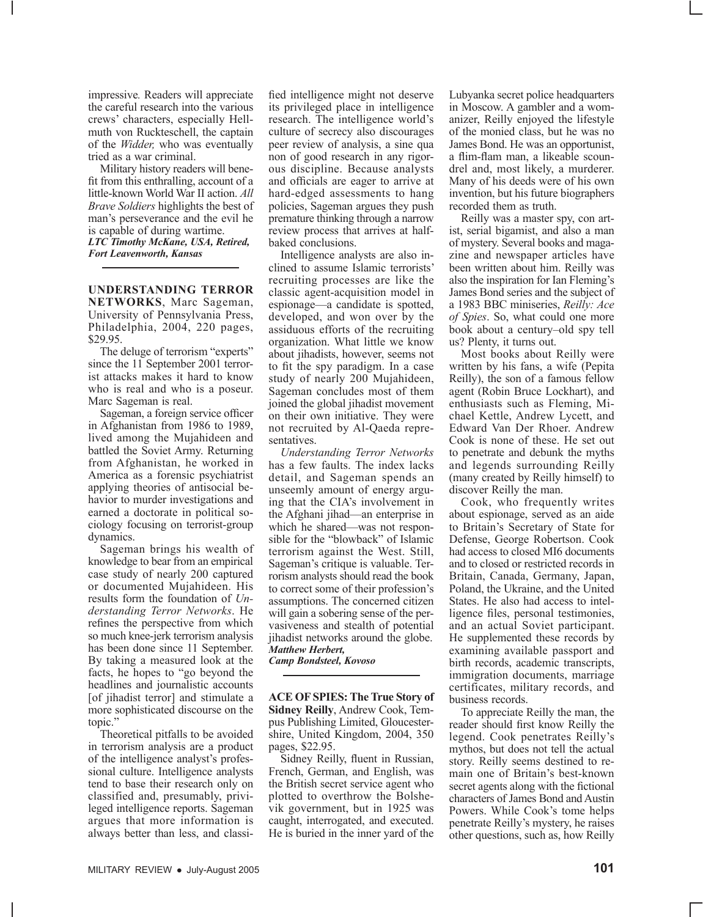impressive*.* Readers will appreciate the careful research into the various crews' characters, especially Hellmuth von Ruckteschell, the captain of the *Widder,* who was eventually tried as a war criminal.

Military history readers will benefit from this enthralling, account of a little-known World War II action. *All Brave Soldiers* highlights the best of man's perseverance and the evil he is capable of during wartime. *LTC Timothy McKane, USA, Retired, Fort Leavenworth, Kansas* 

**UNDERSTANDING TERROR NETWORKS**, Marc Sageman, University of Pennsylvania Press, Philadelphia, 2004, 220 pages, \$29.95.

The deluge of terrorism "experts" since the 11 September 2001 terrorist attacks makes it hard to know who is real and who is a poseur. Marc Sageman is real.

Sageman, a foreign service officer in Afghanistan from 1986 to 1989, lived among the Mujahideen and battled the Soviet Army. Returning from Afghanistan, he worked in America as a forensic psychiatrist applying theories of antisocial behavior to murder investigations and earned a doctorate in political sociology focusing on terrorist-group dynamics.

Sageman brings his wealth of knowledge to bear from an empirical case study of nearly 200 captured or documented Mujahideen. His results form the foundation of *Understanding Terror Networks*. He refines the perspective from which so much knee-jerk terrorism analysis has been done since 11 September. By taking a measured look at the facts, he hopes to "go beyond the headlines and journalistic accounts [of jihadist terror] and stimulate a more sophisticated discourse on the topic."

Theoretical pitfalls to be avoided in terrorism analysis are a product of the intelligence analyst's professional culture. Intelligence analysts tend to base their research only on classified and, presumably, privileged intelligence reports. Sageman argues that more information is always better than less, and classi-

fied intelligence might not deserve its privileged place in intelligence research. The intelligence world's culture of secrecy also discourages peer review of analysis, a sine qua non of good research in any rigorous discipline. Because analysts and officials are eager to arrive at hard-edged assessments to hang policies, Sageman argues they push premature thinking through a narrow review process that arrives at halfbaked conclusions.

Intelligence analysts are also inclined to assume Islamic terrorists' recruiting processes are like the classic agent-acquisition model in espionage—a candidate is spotted, developed, and won over by the assiduous efforts of the recruiting organization. What little we know about jihadists, however, seems not to fit the spy paradigm. In a case study of nearly 200 Mujahideen, Sageman concludes most of them joined the global jihadist movement on their own initiative. They were not recruited by Al-Qaeda representatives.

*Understanding Terror Networks* has a few faults. The index lacks detail, and Sageman spends an unseemly amount of energy arguing that the CIA's involvement in the Afghani jihad—an enterprise in which he shared—was not responsible for the "blowback" of Islamic terrorism against the West. Still, Sageman's critique is valuable. Terrorism analysts should read the book to correct some of their profession's assumptions. The concerned citizen will gain a sobering sense of the pervasiveness and stealth of potential jihadist networks around the globe. *Matthew Herbert,*

*Camp Bondsteel, Kovoso*

**ACE OF SPIES: The True Story of Sidney Reilly**, Andrew Cook, Tempus Publishing Limited, Gloucestershire, United Kingdom, 2004, 350 pages, \$22.95.

Sidney Reilly, fluent in Russian, French, German, and English, was the British secret service agent who plotted to overthrow the Bolshevik government, but in 1925 was caught, interrogated, and executed. He is buried in the inner yard of the Lubyanka secret police headquarters in Moscow. A gambler and a womanizer, Reilly enjoyed the lifestyle of the monied class, but he was no James Bond. He was an opportunist, a flim-flam man, a likeable scoundrel and, most likely, a murderer. Many of his deeds were of his own invention, but his future biographers recorded them as truth.

Reilly was a master spy, con artist, serial bigamist, and also a man of mystery. Several books and magazine and newspaper articles have been written about him. Reilly was also the inspiration for Ian Fleming's James Bond series and the subject of a 1983 BBC miniseries, *Reilly: Ace of Spies*. So, what could one more book about a century–old spy tell us? Plenty, it turns out.

Most books about Reilly were written by his fans, a wife (Pepita Reilly), the son of a famous fellow agent (Robin Bruce Lockhart), and enthusiasts such as Fleming, Michael Kettle, Andrew Lycett, and Edward Van Der Rhoer. Andrew Cook is none of these. He set out to penetrate and debunk the myths and legends surrounding Reilly (many created by Reilly himself) to discover Reilly the man.

Cook, who frequently writes about espionage, served as an aide to Britain's Secretary of State for Defense, George Robertson. Cook had access to closed MI6 documents and to closed or restricted records in Britain, Canada, Germany, Japan, Poland, the Ukraine, and the United States. He also had access to intelligence files, personal testimonies, and an actual Soviet participant. He supplemented these records by examining available passport and birth records, academic transcripts, immigration documents, marriage certificates, military records, and business records.

To appreciate Reilly the man, the reader should first know Reilly the legend. Cook penetrates Reilly's mythos, but does not tell the actual story. Reilly seems destined to remain one of Britain's best-known secret agents along with the fictional characters of James Bond and Austin Powers. While Cook's tome helps penetrate Reilly's mystery, he raises other questions, such as, how Reilly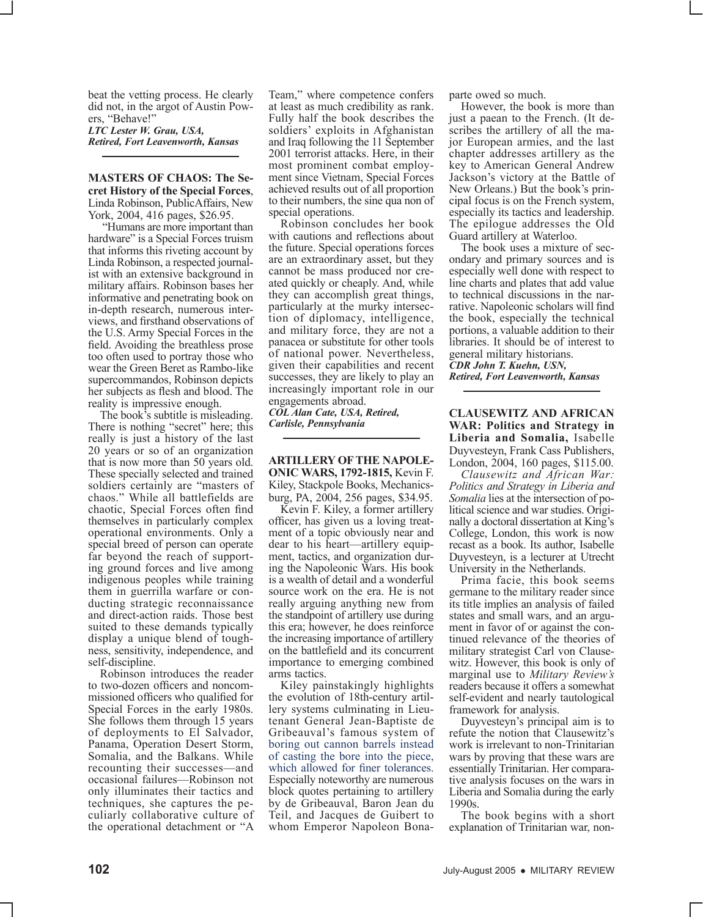beat the vetting process. He clearly did not, in the argot of Austin Powers, "Behave!"

*LTC Lester W. Grau, USA, Retired, Fort Leavenworth, Kansas*

**MASTERS OF CHAOS: The Secret History of the Special Forces**, Linda Robinson, PublicAffairs, New York, 2004, 416 pages, \$26.95.

 "Humans are more important than hardware" is a Special Forces truism that informs this riveting account by Linda Robinson, a respected journalist with an extensive background in military affairs. Robinson bases her informative and penetrating book on in-depth research, numerous interviews, and firsthand observations of the U.S. Army Special Forces in the field. Avoiding the breathless prose too often used to portray those who wear the Green Beret as Rambo-like supercommandos, Robinson depicts her subjects as flesh and blood. The reality is impressive enough.

The book's subtitle is misleading. There is nothing "secret" here; this really is just a history of the last 20 years or so of an organization that is now more than 50 years old. These specially selected and trained soldiers certainly are "masters of chaos." While all battlefields are chaotic, Special Forces often find themselves in particularly complex operational environments. Only a special breed of person can operate far beyond the reach of support-<br>ing ground forces and live among indigenous peoples while training them in guerrilla warfare or con- ducting strategic reconnaissance and direct-action raids. Those best suited to these demands typically display a unique blend of tough- ness, sensitivity, independence, and self-discipline.

Robinson introduces the reader to two-dozen officers and noncom- missioned officers who qualified for Special Forces in the early 1980s. She follows them through 15 years of deployments to El Salvador, Panama, Operation Desert Storm, Somalia, and the Balkans. While recounting their successes—and occasional failures—Robinson not only illuminates their tactics and techniques, she captures the peculiarly collaborative culture of the operational detachment or "A

Team," where competence confers at least as much credibility as rank. Fully half the book describes the soldiers' exploits in Afghanistan and Iraq following the 11 September 2001 terrorist attacks. Here, in their most prominent combat employment since Vietnam, Special Forces achieved results out of all proportion to their numbers, the sine qua non of special operations.

Robinson concludes her book with cautions and reflections about the future. Special operations forces are an extraordinary asset, but they cannot be mass produced nor created quickly or cheaply. And, while they can accomplish great things, particularly at the murky intersection of diplomacy, intelligence, and military force, they are not a panacea or substitute for other tools of national power. Nevertheless, given their capabilities and recent successes, they are likely to play an increasingly important role in our engagements abroad.

*COL Alan Cate, USA, Retired, Carlisle, Pennsylvania*

#### **ARTILLERY OF THE NAPOLE-ONIC WARS, 1792-1815,** Kevin F. Kiley, Stackpole Books, Mechanicsburg, PA, 2004, 256 pages, \$34.95.

Kevin F. Kiley, a former artillery officer, has given us a loving treatment of a topic obviously near and dear to his heart—artillery equip- ment, tactics, and organization dur- ing the Napoleonic Wars. His book is a wealth of detail and a wonderful source work on the era. He is not really arguing anything new from the standpoint of artillery use during this era; however, he does reinforce the increasing importance of artillery on the battlefield and its concurrent importance to emerging combined arms tactics.

Kiley painstakingly highlights<br>the evolution of 18th-century artillery systems culminating in Lieu-<br>tenant General Jean-Baptiste de Gribeauval's famous system of boring out cannon barrels instead of casting the bore into the piece, which allowed for finer tolerances. Especially noteworthy are numerous block quotes pertaining to artillery by de Gribeauval, Baron Jean du Teil, and Jacques de Guibert to whom Emperor Napoleon Bonaparte owed so much.

However, the book is more than just a paean to the French. (It describes the artillery of all the major European armies, and the last chapter addresses artillery as the key to American General Andrew Jackson's victory at the Battle of New Orleans.) But the book's principal focus is on the French system, especially its tactics and leadership. The epilogue addresses the Old Guard artillery at Waterloo.

The book uses a mixture of secondary and primary sources and is especially well done with respect to line charts and plates that add value to technical discussions in the narrative. Napoleonic scholars will find the book, especially the technical portions, a valuable addition to their libraries. It should be of interest to general military historians. *CDR John T. Kuehn, USN, Retired, Fort Leavenworth, Kansas*

**CLAUSEWITZ AND AFRICAN WAR: Politics and Strategy in Liberia and Somalia,** Isabelle Duyvesteyn, Frank Cass Publishers, London, 2004, 160 pages, \$115.00.

*Clausewitz and African War: Politics and Strategy in Liberia and Somalia* lies at the intersection of political science and war studies. Originally a doctoral dissertation at King's College, London, this work is now recast as a book. Its author, Isabelle Duyvesteyn, is a lecturer at Utrecht University in the Netherlands.

Prima facie, this book seems germane to the military reader since its title implies an analysis of failed states and small wars, and an argument in favor of or against the continued relevance of the theories of military strategist Carl von Clausewitz. However, this book is only of marginal use to *Military Review's* readers because it offers a somewhat self-evident and nearly tautological framework for analysis.

Duyvesteyn's principal aim is to refute the notion that Clausewitz's work is irrelevant to non-Trinitarian wars by proving that these wars are essentially Trinitarian. Her comparative analysis focuses on the wars in Liberia and Somalia during the early 1990s.

The book begins with a short explanation of Trinitarian war, non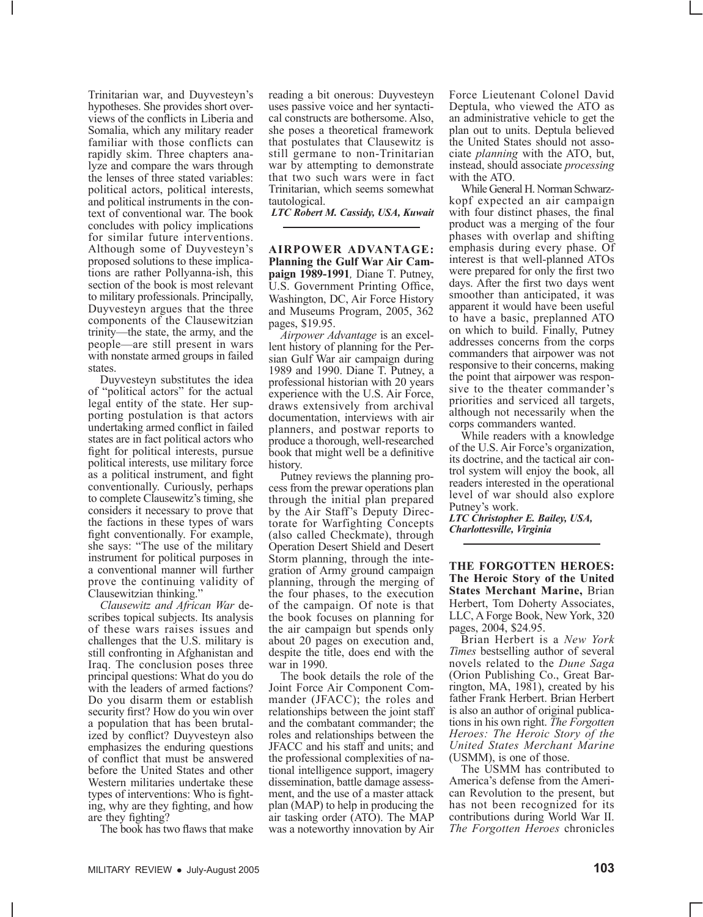Trinitarian war, and Duyvesteyn's hypotheses. She provides short overviews of the conflicts in Liberia and Somalia, which any military reader familiar with those conflicts can rapidly skim. Three chapters analyze and compare the wars through the lenses of three stated variables: political actors, political interests, and political instruments in the context of conventional war. The book concludes with policy implications for similar future interventions. Although some of Duyvesteyn's proposed solutions to these implications are rather Pollyanna-ish, this section of the book is most relevant to military professionals. Principally, Duyvesteyn argues that the three components of the Clausewitzian trinity—the state, the army, and the people—are still present in wars with nonstate armed groups in failed states.

Duyvesteyn substitutes the idea of "political actors" for the actual legal entity of the state. Her supporting postulation is that actors undertaking armed conflict in failed states are in fact political actors who fight for political interests, pursue political interests, use military force as a political instrument, and fight conventionally. Curiously, perhaps to complete Clausewitz's timing, she considers it necessary to prove that the factions in these types of wars fight conventionally. For example, she says: "The use of the military instrument for political purposes in a conventional manner will further prove the continuing validity of Clausewitzian thinking."

*Clausewitz and African War* describes topical subjects. Its analysis of these wars raises issues and challenges that the U.S. military is still confronting in Afghanistan and Iraq. The conclusion poses three principal questions: What do you do with the leaders of armed factions? Do you disarm them or establish security first? How do you win over a population that has been brutal- ized by conflict? Duyvesteyn also emphasizes the enduring questions of conflict that must be answered before the United States and other Western militaries undertake these types of interventions: Who is fight-<br>ing, why are they fighting, and how are they fighting?

The book has two flaws that make

reading a bit onerous: Duyvesteyn uses passive voice and her syntactical constructs are bothersome. Also, she poses a theoretical framework that postulates that Clausewitz is still germane to non-Trinitarian war by attempting to demonstrate that two such wars were in fact Trinitarian, which seems somewhat tautological.

*LTC Robert M. Cassidy, USA, Kuwait*

**AIRPOWER ADVANTAGE: Planning the Gulf War Air Campaign 1989-1991***,* Diane T. Putney, U.S. Government Printing Office, Washington, DC, Air Force History and Museums Program, 2005, 362 pages, \$19.95.

*Airpower Advantage* is an excel- lent history of planning for the Per- sian Gulf War air campaign during 1989 and 1990. Diane T. Putney, a professional historian with 20 years experience with the U.S. Air Force, draws extensively from archival documentation, interviews with air planners, and postwar reports to produce a thorough, well-researched book that might well be a definitive

history.<br>Putney reviews the planning process from the prewar operations plan through the initial plan prepared<br>by the Air Staff's Deputy Directorate for Warfighting Concepts (also called Checkmate), through Operation Desert Shield and Desert Storm planning, through the integration of Army ground campaign planning, through the merging of the four phases, to the execution of the campaign. Of note is that the book focuses on planning for the air campaign but spends only about 20 pages on execution and, despite the title, does end with the war in 1990.

The book details the role of the Joint Force Air Component Commander (JFACC); the roles and relationships between the joint staff and the combatant commander; the roles and relationships between the JFACC and his staff and units; and the professional complexities of national intelligence support, imagery dissemination, battle damage assess- ment, and the use of a master attack plan (MAP) to help in producing the air tasking order (ATO). The MAP was a noteworthy innovation by Air Force Lieutenant Colonel David Deptula, who viewed the ATO as an administrative vehicle to get the plan out to units. Deptula believed the United States should not associate *planning* with the ATO, but, instead, should associate *processing* with the ATO.

While General H. Norman Schwarzkopf expected an air campaign with four distinct phases, the final product was a merging of the four phases with overlap and shifting emphasis during every phase. Of interest is that well-planned ATOs were prepared for only the first two days. After the first two days went smoother than anticipated, it was apparent it would have been useful to have a basic, preplanned ATO on which to build. Finally, Putney addresses concerns from the corps commanders that airpower was not responsive to their concerns, making the point that airpower was responsive to the theater commander's priorities and serviced all targets, although not necessarily when the corps commanders wanted.

While readers with a knowledge of the U.S. Air Force's organization, its doctrine, and the tactical air control system will enjoy the book, all readers interested in the operational level of war should also explore Putney's work.

*LTC Christopher E. Bailey, USA, Charlottesville, Virginia*

**THE FORGOTTEN HEROES: The Heroic Story of the United States Merchant Marine,** Brian Herbert, Tom Doherty Associates, LLC, A Forge Book, New York, 320 pages, 2004, \$24.95.

Brian Herbert is a *New York Times* bestselling author of several novels related to the *Dune Saga* (Orion Publishing Co., Great Barrington, MA, 1981), created by his father Frank Herbert. Brian Herbert is also an author of original publications in his own right. *The Forgotten Heroes: The Heroic Story of the United States Merchant Marine* (USMM), is one of those.

The USMM has contributed to America's defense from the American Revolution to the present, but has not been recognized for its contributions during World War II. *The Forgotten Heroes* chronicles